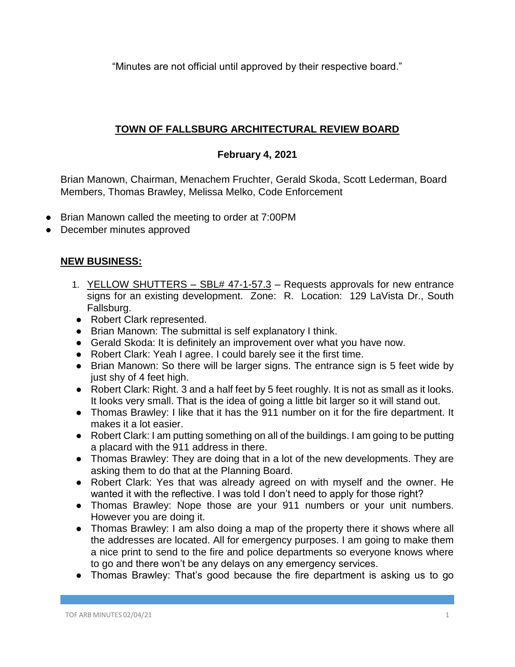"Minutes are not official until approved by their respective board."

## **TOWN OF FALLSBURG ARCHITECTURAL REVIEW BOARD**

## **February 4, 2021**

Brian Manown, Chairman, Menachem Fruchter, Gerald Skoda, Scott Lederman, Board Members, Thomas Brawley, Melissa Melko, Code Enforcement

- Brian Manown called the meeting to order at 7:00PM
- December minutes approved

## **NEW BUSINESS:**

- 1. YELLOW SHUTTERS SBL# 47-1-57.3 Requests approvals for new entrance signs for an existing development. Zone: R. Location: 129 LaVista Dr., South Fallsburg.
- Robert Clark represented.
- Brian Manown: The submittal is self explanatory I think.
- Gerald Skoda: It is definitely an improvement over what you have now.
- Robert Clark: Yeah I agree. I could barely see it the first time.
- Brian Manown: So there will be larger signs. The entrance sign is 5 feet wide by just shy of 4 feet high.
- Robert Clark: Right. 3 and a half feet by 5 feet roughly. It is not as small as it looks. It looks very small. That is the idea of going a little bit larger so it will stand out.
- Thomas Brawley: I like that it has the 911 number on it for the fire department. It makes it a lot easier.
- Robert Clark: I am putting something on all of the buildings. I am going to be putting a placard with the 911 address in there.
- Thomas Brawley: They are doing that in a lot of the new developments. They are asking them to do that at the Planning Board.
- Robert Clark: Yes that was already agreed on with myself and the owner. He wanted it with the reflective. I was told I don't need to apply for those right?
- Thomas Brawley: Nope those are your 911 numbers or your unit numbers. However you are doing it.
- Thomas Brawley: I am also doing a map of the property there it shows where all the addresses are located. All for emergency purposes. I am going to make them a nice print to send to the fire and police departments so everyone knows where to go and there won't be any delays on any emergency services.
- Thomas Brawley: That's good because the fire department is asking us to go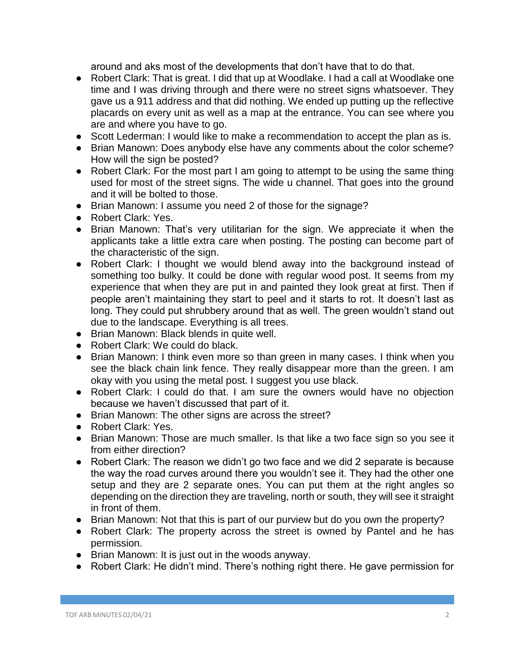around and aks most of the developments that don't have that to do that.

- Robert Clark: That is great. I did that up at Woodlake. I had a call at Woodlake one time and I was driving through and there were no street signs whatsoever. They gave us a 911 address and that did nothing. We ended up putting up the reflective placards on every unit as well as a map at the entrance. You can see where you are and where you have to go.
- Scott Lederman: I would like to make a recommendation to accept the plan as is.
- Brian Manown: Does anybody else have any comments about the color scheme? How will the sign be posted?
- Robert Clark: For the most part I am going to attempt to be using the same thing used for most of the street signs. The wide u channel. That goes into the ground and it will be bolted to those.
- Brian Manown: I assume you need 2 of those for the signage?
- Robert Clark: Yes.
- Brian Manown: That's very utilitarian for the sign. We appreciate it when the applicants take a little extra care when posting. The posting can become part of the characteristic of the sign.
- Robert Clark: I thought we would blend away into the background instead of something too bulky. It could be done with regular wood post. It seems from my experience that when they are put in and painted they look great at first. Then if people aren't maintaining they start to peel and it starts to rot. It doesn't last as long. They could put shrubbery around that as well. The green wouldn't stand out due to the landscape. Everything is all trees.
- Brian Manown: Black blends in quite well.
- Robert Clark: We could do black.
- Brian Manown: I think even more so than green in many cases. I think when you see the black chain link fence. They really disappear more than the green. I am okay with you using the metal post. I suggest you use black.
- Robert Clark: I could do that. I am sure the owners would have no objection because we haven't discussed that part of it.
- Brian Manown: The other signs are across the street?
- Robert Clark: Yes.
- Brian Manown: Those are much smaller. Is that like a two face sign so you see it from either direction?
- Robert Clark: The reason we didn't go two face and we did 2 separate is because the way the road curves around there you wouldn't see it. They had the other one setup and they are 2 separate ones. You can put them at the right angles so depending on the direction they are traveling, north or south, they will see it straight in front of them.
- Brian Manown: Not that this is part of our purview but do you own the property?
- Robert Clark: The property across the street is owned by Pantel and he has permission.
- Brian Manown: It is just out in the woods anyway.
- Robert Clark: He didn't mind. There's nothing right there. He gave permission for